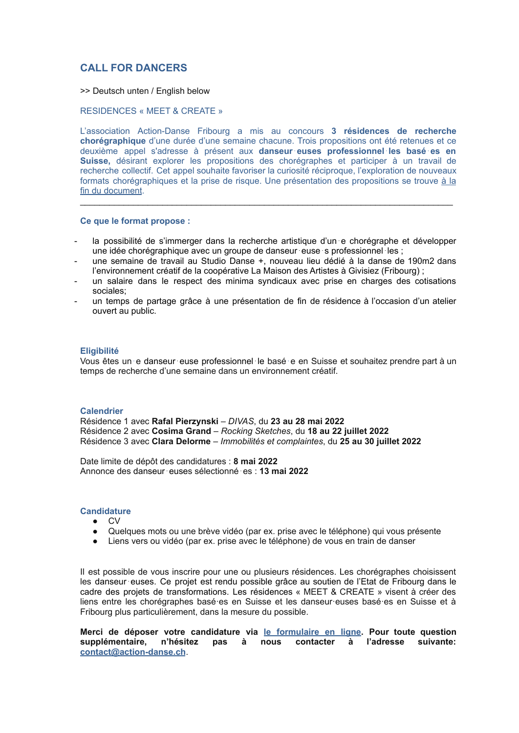# **CALL FOR DANCERS**

>> Deutsch unten / English below

RESIDENCES « MEET & CREATE »

L'association Action-Danse Fribourg a mis au concours **3 résidences de recherche chorégraphique** d'une durée d'une semaine chacune. Trois propositions ont été retenues et ce deuxième appel s'adresse à présent aux **danseur**⋅**euses professionnel**⋅**les basé**⋅**es en Suisse,** désirant explorer les propositions des chorégraphes et participer à un travail de recherche collectif. Cet appel souhaite favoriser la curiosité réciproque, l'exploration de nouveaux formats chorégraphiques et la prise de risque. Une présentation des propositions se trouve à [la](#page-3-0) fin du [document](#page-3-0).

**Ce que le format propose :**

la possibilité de s'immerger dans la recherche artistique d'un e chorégraphe et développer une idée chorégraphique avec un groupe de danseur⋅euse⋅s professionnel⋅les ;

\_\_\_\_\_\_\_\_\_\_\_\_\_\_\_\_\_\_\_\_\_\_\_\_\_\_\_\_\_\_\_\_\_\_\_\_\_\_\_\_\_\_\_\_\_\_\_\_\_\_\_\_\_\_\_\_\_\_\_\_\_\_\_\_\_\_\_\_\_\_\_\_\_\_\_\_\_

- une semaine de travail au Studio Danse +, nouveau lieu dédié à la danse de 190m2 dans l'environnement créatif de la coopérative La Maison des Artistes à Givisiez (Fribourg) ;
- un salaire dans le respect des minima syndicaux avec prise en charges des cotisations sociales;
- un temps de partage grâce à une présentation de fin de résidence à l'occasion d'un atelier ouvert au public.

### **Eligibilité**

Vous êtes un⋅e danseur⋅euse professionnel⋅le basé⋅e en Suisse et souhaitez prendre part à un temps de recherche d'une semaine dans un environnement créatif.

#### **Calendrier**

Résidence 1 avec **Rafal Pierzynski** – *DIVAS*, du **23 au 28 mai 2022** Résidence 2 avec **Cosima Grand** – *Rocking Sketches*, du **18 au 22 juillet 2022** Résidence 3 avec **Clara Delorme** – *Immobilités et complaintes*, du **25 au 30 juillet 2022**

Date limite de dépôt des candidatures : **8 mai 2022** Annonce des danseur⋅euses sélectionné⋅es : **13 mai 2022**

## **Candidature**

- CV
- Quelques mots ou une brève vidéo (par ex. prise avec le téléphone) qui vous présente
- Liens vers ou vidéo (par ex. prise avec le téléphone) de vous en train de danser

Il est possible de vous inscrire pour une ou plusieurs résidences. Les chorégraphes choisissent les danseur⋅euses. Ce projet est rendu possible grâce au soutien de l'Etat de Fribourg dans le cadre des projets de transformations. Les résidences « MEET & CREATE » visent à créer des liens entre les chorégraphes basé·es en Suisse et les danseur·euses basé·es en Suisse et à Fribourg plus particulièrement, dans la mesure du possible.

**Merci de déposer votre candidature via le [formulaire](https://my.forms.app/form/6260fb0a9df3556adbfe8d0c) en ligne. Pour toute question supplémentaire, n'hésitez pas à nous contacter à l'adresse suivante: [contact@action-danse.ch](mailto:contaact@action-danse.ch)**.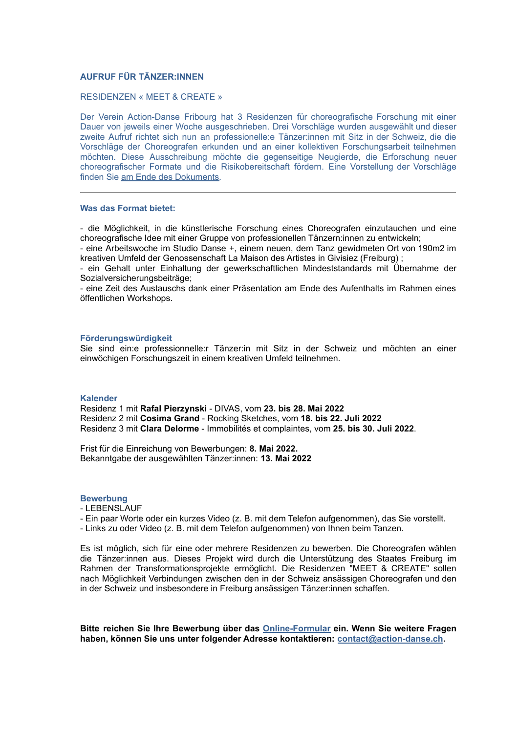### **AUFRUF FÜR TÄNZER:INNEN**

### RESIDENZEN « MEET & CREATE »

Der Verein Action-Danse Fribourg hat 3 Residenzen für choreografische Forschung mit einer Dauer von jeweils einer Woche ausgeschrieben. Drei Vorschläge wurden ausgewählt und dieser zweite Aufruf richtet sich nun an professionelle:e Tänzer:innen mit Sitz in der Schweiz, die die Vorschläge der Choreografen erkunden und an einer kollektiven Forschungsarbeit teilnehmen möchten. Diese Ausschreibung möchte die gegenseitige Neugierde, die Erforschung neuer choreografischer Formate und die Risikobereitschaft fördern. Eine Vorstellung der Vorschläge finden Sie am Ende des [Dokuments.](#page-3-0)

### **Was das Format bietet:**

- die Möglichkeit, in die künstlerische Forschung eines Choreografen einzutauchen und eine choreografische Idee mit einer Gruppe von professionellen Tänzern:innen zu entwickeln;

- eine Arbeitswoche im Studio Danse +, einem neuen, dem Tanz gewidmeten Ort von 190m2 im kreativen Umfeld der Genossenschaft La Maison des Artistes in Givisiez (Freiburg) ;

- ein Gehalt unter Einhaltung der gewerkschaftlichen Mindeststandards mit Übernahme der Sozialversicherungsbeiträge;

- eine Zeit des Austauschs dank einer Präsentation am Ende des Aufenthalts im Rahmen eines öffentlichen Workshops.

## **Förderungswürdigkeit**

Sie sind ein:e professionnelle:r Tänzer:in mit Sitz in der Schweiz und möchten an einer einwöchigen Forschungszeit in einem kreativen Umfeld teilnehmen.

#### **Kalender**

Residenz 1 mit **Rafal Pierzynski** - DIVAS, vom **23. bis 28. Mai 2022** Residenz 2 mit **Cosima Grand** - Rocking Sketches, vom **18. bis 22. Juli 2022** Residenz 3 mit **Clara Delorme** - Immobilités et complaintes, vom **25. bis 30. Juli 2022**.

Frist für die Einreichung von Bewerbungen: **8. Mai 2022.** Bekanntgabe der ausgewählten Tänzer:innen: **13. Mai 2022**

#### **Bewerbung**

- LEBENSLAUF
- Ein paar Worte oder ein kurzes Video (z. B. mit dem Telefon aufgenommen), das Sie vorstellt.
- Links zu oder Video (z. B. mit dem Telefon aufgenommen) von Ihnen beim Tanzen.

Es ist möglich, sich für eine oder mehrere Residenzen zu bewerben. Die Choreografen wählen die Tänzer:innen aus. Dieses Projekt wird durch die Unterstützung des Staates Freiburg im Rahmen der Transformationsprojekte ermöglicht. Die Residenzen "MEET & CREATE" sollen nach Möglichkeit Verbindungen zwischen den in der Schweiz ansässigen Choreografen und den in der Schweiz und insbesondere in Freiburg ansässigen Tänzer:innen schaffen.

**Bitte reichen Sie Ihre Bewerbung über das [Online-Formular](https://my.forms.app/form/6260fb0a9df3556adbfe8d0c) ein. Wenn Sie weitere Fragen haben, können Sie uns unter folgender Adresse kontaktieren: [contact@action-danse.ch.](mailto:contact@action-danse.ch)**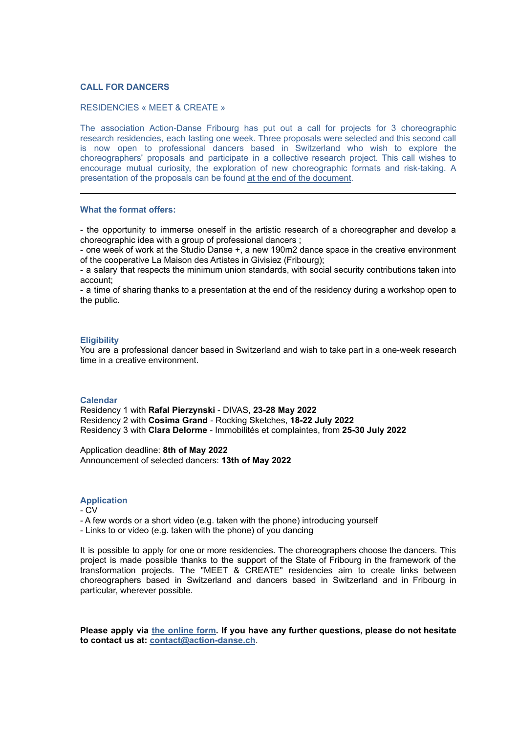#### **CALL FOR DANCERS**

#### RESIDENCIES « MEET & CREATE »

The association Action-Danse Fribourg has put out a call for projects for 3 choreographic research residencies, each lasting one week. Three proposals were selected and this second call is now open to professional dancers based in Switzerland who wish to explore the choreographers' proposals and participate in a collective research project. This call wishes to encourage mutual curiosity, the exploration of new choreographic formats and risk-taking. A presentation of the proposals can be found at the end of the [document](#page-3-0).

#### **What the format offers:**

- the opportunity to immerse oneself in the artistic research of a choreographer and develop a choreographic idea with a group of professional dancers ;

- one week of work at the Studio Danse +, a new 190m2 dance space in the creative environment of the cooperative La Maison des Artistes in Givisiez (Fribourg);

- a salary that respects the minimum union standards, with social security contributions taken into account;

- a time of sharing thanks to a presentation at the end of the residency during a workshop open to the public.

### **Eligibility**

You are a professional dancer based in Switzerland and wish to take part in a one-week research time in a creative environment.

#### **Calendar**

Residency 1 with **Rafal Pierzynski** - DIVAS, **23-28 May 2022** Residency 2 with **Cosima Grand** - Rocking Sketches, **18-22 July 2022** Residency 3 with **Clara Delorme** - Immobilités et complaintes, from **25-30 July 2022**

Application deadline: **8th of May 2022** Announcement of selected dancers: **13th of May 2022**

#### **Application**

#### - CV

- A few words or a short video (e.g. taken with the phone) introducing yourself

- Links to or video (e.g. taken with the phone) of you dancing

It is possible to apply for one or more residencies. The choreographers choose the dancers. This project is made possible thanks to the support of the State of Fribourg in the framework of the transformation projects. The "MEET & CREATE" residencies aim to create links between choreographers based in Switzerland and dancers based in Switzerland and in Fribourg in particular, wherever possible.

**Please apply via the [online](https://my.forms.app/form/6260fb0a9df3556adbfe8d0c) form. If you have any further questions, please do not hesitate to contact us at: [contact@action-danse.ch](mailto:contact@action-danse.ch)**.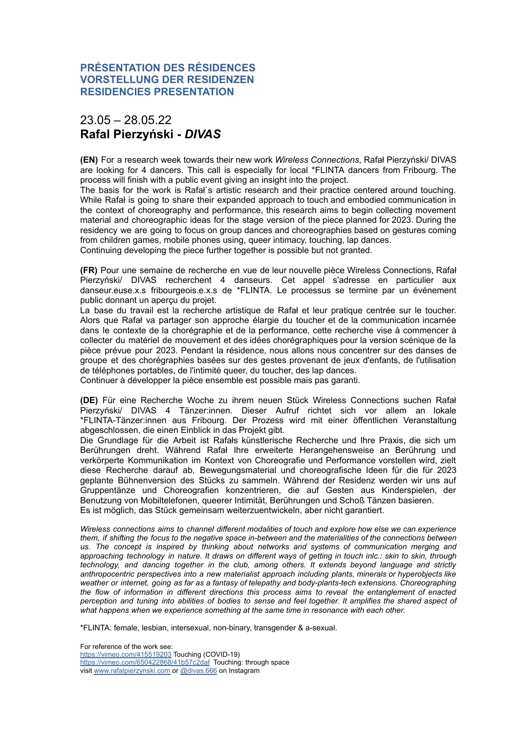# <span id="page-3-0"></span>23.05 – 28.05.22 **Rafal Pierzyński -** *DIVAS*

**(EN)** For a research week towards their new work *Wireless Connections*, Rafał Pierzyński/ DIVAS are looking for 4 dancers. This call is especially for local \*FLINTA dancers from Fribourg. The process will finish with a public event giving an insight into the project.

The basis for the work is Rafał`s artistic research and their practice centered around touching. While Rafał is going to share their expanded approach to touch and embodied communication in the context of choreography and performance, this research aims to begin collecting movement material and choreographic ideas for the stage version of the piece planned for 2023. During the residency we are going to focus on group dances and choreographies based on gestures coming from children games, mobile phones using, queer intimacy, touching, lap dances.

Continuing developing the piece further together is possible but not granted.

**(FR)** Pour une semaine de recherche en vue de leur nouvelle pièce Wireless Connections, Rafał Pierzyński/ DIVAS recherchent 4 danseurs. Cet appel s'adresse en particulier aux danseur.euse.x.s fribourgeois.e.x.s de \*FLINTA. Le processus se termine par un événement public donnant un aperçu du projet.

La base du travail est la recherche artistique de Rafał et leur pratique centrée sur le toucher. Alors que Rafał va partager son approche élargie du toucher et de la communication incarnée dans le contexte de la chorégraphie et de la performance, cette recherche vise à commencer à collecter du matériel de mouvement et des idées chorégraphiques pour la version scénique de la pièce prévue pour 2023. Pendant la résidence, nous allons nous concentrer sur des danses de groupe et des chorégraphies basées sur des gestes provenant de jeux d'enfants, de l'utilisation de téléphones portables, de l'intimité queer, du toucher, des lap dances.

Continuer à développer la pièce ensemble est possible mais pas garanti.

**(DE)** Für eine Recherche Woche zu ihrem neuen Stück Wireless Connections suchen Rafał Pierzyński/ DIVAS 4 Tänzer:innen. Dieser Aufruf richtet sich vor allem an lokale \*FLINTA-Tänzer:innen aus Fribourg. Der Prozess wird mit einer öffentlichen Veranstaltung abgeschlossen, die einen Einblick in das Projekt gibt.

Die Grundlage für die Arbeit ist Rafałs künstlerische Recherche und Ihre Praxis, die sich um Berührungen dreht. Während Rafał Ihre erweiterte Herangehensweise an Berührung und verkörperte Kommunikation im Kontext von Choreografie und Performance vorstellen wird, zielt diese Recherche darauf ab, Bewegungsmaterial und choreografische Ideen für die für 2023 geplante Bühnenversion des Stücks zu sammeln. Während der Residenz werden wir uns auf Gruppentänze und Choreografien konzentrieren, die auf Gesten aus Kinderspielen, der Benutzung von Mobiltelefonen, queerer Intimität, Berührungen und Schoß Tänzen basieren. Es ist möglich, das Stück gemeinsam weiterzuentwickeln, aber nicht garantiert.

*Wireless connections aims to channel different modalities of touch and explore how else we can experience* them, if shifting the focus to the negative space in-between and the materialities of the connections between *us. The concept is inspired by thinking about networks and systems of communication merging and* approaching technology in nature. It draws on different ways of getting in touch inlc.: skin to skin, through *technology, and dancing together in the club, among others. It extends beyond language and strictly anthropocentric perspectives into a new materialist approach including plants, minerals or hyperobjects like weather or internet, going as far as a fantasy of telepathy and body-plants-tech extensions. Choreographing the flow of information in different directions this process aims to reveal the entanglement of enacted* perception and tuning into abilities of bodies to sense and feel together. It amplifies the shared aspect of *what happens when we experience something at the same time in resonance with each other.*

\*FLINTA: female, lesbian, intersexual, non-binary, transgender & a-sexual.

For reference of the work see: <https://vimeo.com/415519203> Touching (COVID-19) <https://vimeo.com/650422868/41b57c2daf> Touching: through space visit [www.rafalpierzynski.com](http://www.rafalpierzynski.com/) or [@divas.666](https://www.instagram.com/divas.666/) on Instagram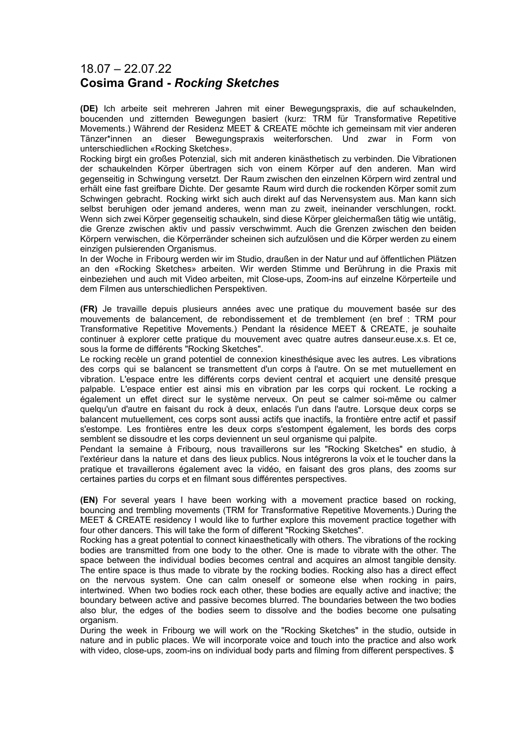# 18.07 – 22.07.22 **Cosima Grand -** *Rocking Sketches*

**(DE)** Ich arbeite seit mehreren Jahren mit einer Bewegungspraxis, die auf schaukelnden, boucenden und zitternden Bewegungen basiert (kurz: TRM für Transformative Repetitive Movements.) Während der Residenz MEET & CREATE möchte ich gemeinsam mit vier anderen Tänzer\*innen an dieser Bewegungspraxis weiterforschen. Und zwar in Form von unterschiedlichen «Rocking Sketches».

Rocking birgt ein großes Potenzial, sich mit anderen kinästhetisch zu verbinden. Die Vibrationen der schaukelnden Körper übertragen sich von einem Körper auf den anderen. Man wird gegenseitig in Schwingung versetzt. Der Raum zwischen den einzelnen Körpern wird zentral und erhält eine fast greifbare Dichte. Der gesamte Raum wird durch die rockenden Körper somit zum Schwingen gebracht. Rocking wirkt sich auch direkt auf das Nervensystem aus. Man kann sich selbst beruhigen oder jemand anderes, wenn man zu zweit, ineinander verschlungen, rockt. Wenn sich zwei Körper gegenseitig schaukeln, sind diese Körper gleichermaßen tätig wie untätig, die Grenze zwischen aktiv und passiv verschwimmt. Auch die Grenzen zwischen den beiden Körpern verwischen, die Körperränder scheinen sich aufzulösen und die Körper werden zu einem einzigen pulsierenden Organismus.

In der Woche in Fribourg werden wir im Studio, draußen in der Natur und auf öffentlichen Plätzen an den «Rocking Sketches» arbeiten. Wir werden Stimme und Berührung in die Praxis mit einbeziehen und auch mit Video arbeiten, mit Close-ups, Zoom-ins auf einzelne Körperteile und dem Filmen aus unterschiedlichen Perspektiven.

**(FR)** Je travaille depuis plusieurs années avec une pratique du mouvement basée sur des mouvements de balancement, de rebondissement et de tremblement (en bref : TRM pour Transformative Repetitive Movements.) Pendant la résidence MEET & CREATE, je souhaite continuer à explorer cette pratique du mouvement avec quatre autres danseur.euse.x.s. Et ce, sous la forme de différents "Rocking Sketches".

Le rocking recèle un grand potentiel de connexion kinesthésique avec les autres. Les vibrations des corps qui se balancent se transmettent d'un corps à l'autre. On se met mutuellement en vibration. L'espace entre les différents corps devient central et acquiert une densité presque palpable. L'espace entier est ainsi mis en vibration par les corps qui rockent. Le rocking a également un effet direct sur le système nerveux. On peut se calmer soi-même ou calmer quelqu'un d'autre en faisant du rock à deux, enlacés l'un dans l'autre. Lorsque deux corps se balancent mutuellement, ces corps sont aussi actifs que inactifs, la frontière entre actif et passif s'estompe. Les frontières entre les deux corps s'estompent également, les bords des corps semblent se dissoudre et les corps deviennent un seul organisme qui palpite.

Pendant la semaine à Fribourg, nous travaillerons sur les "Rocking Sketches" en studio, à l'extérieur dans la nature et dans des lieux publics. Nous intégrerons la voix et le toucher dans la pratique et travaillerons également avec la vidéo, en faisant des gros plans, des zooms sur certaines parties du corps et en filmant sous différentes perspectives.

**(EN)** For several years I have been working with a movement practice based on rocking, bouncing and trembling movements (TRM for Transformative Repetitive Movements.) During the MEET & CREATE residency I would like to further explore this movement practice together with four other dancers. This will take the form of different "Rocking Sketches".

Rocking has a great potential to connect kinaesthetically with others. The vibrations of the rocking bodies are transmitted from one body to the other. One is made to vibrate with the other. The space between the individual bodies becomes central and acquires an almost tangible density. The entire space is thus made to vibrate by the rocking bodies. Rocking also has a direct effect on the nervous system. One can calm oneself or someone else when rocking in pairs, intertwined. When two bodies rock each other, these bodies are equally active and inactive; the boundary between active and passive becomes blurred. The boundaries between the two bodies also blur, the edges of the bodies seem to dissolve and the bodies become one pulsating organism.

During the week in Fribourg we will work on the "Rocking Sketches" in the studio, outside in nature and in public places. We will incorporate voice and touch into the practice and also work with video, close-ups, zoom-ins on individual body parts and filming from different perspectives. \$